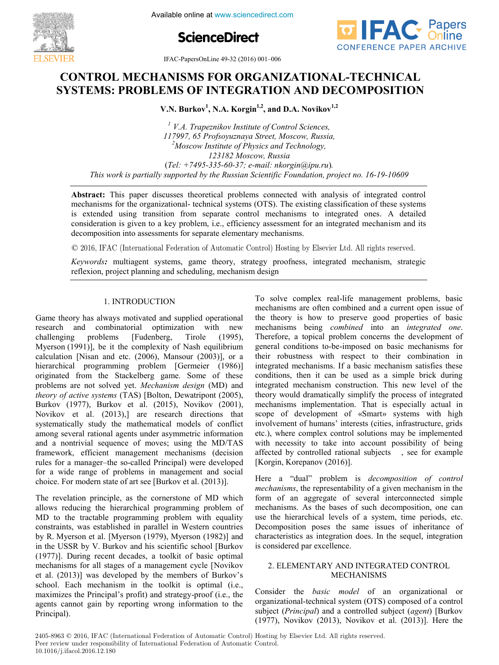

**ScienceDirect**



IFAC-PapersOnLine 49-32 (2016) 001–006 **CONTROL MECHANISMS FOR ORGANIZATION**  $49-52$  (2010) 001-000

## CONTROL MECHANISMS FOR ORGANIZATIONAL-TECHNICAL **SYSTEMS: PROBLEMS OF INTEGRATION AND DECOMPOSITION SYSTEMS: PROBLEMS OF INTEGRATION AND DECOMPOSITION SYSTEMS: PROBLEMS OF INTEGRATION AND DECOMPOSITION V.N. Burkov<sup>1</sup> , N.A. Korgin1,2, and D.A. Novikov1,2**

V.N. Burkov<sup>1</sup>, N.A. Korgin<sup>1,2</sup>, and D.A. Novikov<sup>1,2</sup>

V.A. Prapeznikov Institute of Control Sciences,<br>117997, 65 Profsoyuznaya Street, Moscow, Russia,<br><sup>2</sup>Moscow Institute of Physics and Technology <sup>2</sup>Moscow Institute of Physics and Technology, *Moscow Institute of Physics and Technology, 123182 Moscow, Russia 123182 Moscow, Russia* (*Tel: +7495-335-60-37; e-mail: nkorgin@ipu.ru*)*.* (*Tel: +7495-335-60-37; e-mail: nkorgin@ipu.ru*)*.* This work is partially supported by the Russian Scientific Foundation, project no. 16-19-10609 *<sup>1</sup> V.A. Trapeznikov Institute of Control Sciences, This work is partially supported by the Russian Scientific Foundation, project no. 16-19-10609* (*Tel: +7495-335-60-37; e-mail: nkorgin@ipu.ru*)*. 123182 Moscow, Russia <sup>1</sup> V.A. Trapeznikov Institute of Control Sciences, <sup>1</sup> V.A. Trapeznikov Institute of Control Sciences,*  (*Tel: +7495-335-60-37; e-mail: nkorgin@ipu.ru*)*. 123182 Moscow, Russia*(*Tel: +7495-335-60-37; e-mail: nkorgin@ipu.ru*)*. This work is partially supported by the Russian Scientific Foundation, project no.16-19-10609*

mechanisms for the organizational-technical systems (OTS). The existing classification of these systems is extended using transition from separate control mechanisms to integrated ones. A detailed consideration is given to a key problem, i.e., efficiency assessment for an integrated mechanism and its consideration is given to a key problem, i.e., efficiency assessment for an integrated mechanism and its<br>decomposition into assessments for separate elementary mechanisms. **Abstract:** This paper discusses theoretical problems connected with analysis of integrated control

 $\odot$  2016, IFAC (International Federation of Automatic Control) Hosting by Elsevier Ltd. All rights reserved. decomposition into a<br>composition into a separate elementary mechanisms.<br>The separate elementary mechanisms of Automatic Control) Hosting b

Keywords: multiagent systems, game theory, strategy proofness, integrated mechanism, strategic reflexion, project planning and scheduling, mechanism design<br>reflexion, project planning and scheduling, mechanism design

#### 1. INTRODUCTION 1. INTRODUCTION 1. INTRODUCTION 1. INTRODUCTION

Game theory has always motivated and supplied operational research and combinatorial optimization with new challenging problems [Fudenberg, Tirole (1995), research and combinatorial optimization with new challenging problems [Fudenberg, Tirole (1995), Myerson (1991)], be it the complexity of Nash equilibrium  $\alpha$  relation (Nisan and etc. (2006), Mansour (2003)], or a hierarchical programming problem [Germeier (1986)] originated from the Stackelberg game. Some of these problems are not solved yet. *Mechanism design* (MD) and *theory of active systems* (TAS) [Bolton, Dewatripont (2005), meory of active systems (1AS) [Bonon, Dewarthout (2003),<br>Burkov (1977), Burkov et al. (2015), Novikov (2001), Burkov (1977), Burkov et al. (2015), Novikov (2001),<br>Novikov et al. (2013),] are research directions that systematically study the mathematical models of conflict among several rational agents under asymmetric information allowing several rational agents under asymmetric information<br>and a nontrivial sequence of moves; using the MD/TAS framework, efficient management mechanisms (decision rules for a manager-the so-called Principal) were developed rules for a manager-the so-called Principal) were developed<br>for a wide range of problems in management and social choice. For modern state of art see [Burkov et al. (2013)]. research and combinatorial optimization with new electronics combinatorial optimization with new choice. For modern state of art see [Burkov et al. (2013)]. choice. For modern state of art see [Burkov et al. (2013)]. choice. For modern state of art see [Burkov et al. (2013)].

The revelation principle, as the cornerstone of MD which allows reducing the hierarchical programming problem of the tractable values of the with equality and allows reducing the hierarchical programming problem of allows reducing the hierarchical programming problem of MD to the tractable programming problem with equality constraints, was established in parallel in Western countries constraints, was established in parallel in Western countries<br>by R. Myerson et al. [Myerson (1979), Myerson (1982)] and in the USSR by V. Burkov and his scientific school [Burkov] in the USSR by V. Burkov and his scientific school [Burkov (1977)]. During recent decades, a toolkit of basic optimal mechanisms for all stages of a management cycle [Novikov] mechanisms for all stages of a management cycle [Novikov et al. (2013)] was developed by the members of Burkov's school. Each mechanism in the toolkit is optimal (i.e., maximizes the Principal's profit) and strategy-proof (i.e., the maximizes the Frincipal s profit) and strategy-proof (i.e., the<br>agents cannot gain by reporting wrong information to the<br>Principal). Principal). Principal). Principal).

To solve complex real-life management problems, basic To solve complex real-life management problems, basic<br>mechanisms are often combined and a current open issue of the theory is how to preserve good properties of basic the theory is how to preserve good properties of basic<br>mechanisms being *combined* into an *integrated one*. Therefore, a topical problem concerns the development of Therefore, a topical problem concerns the development of general conditions to-be-imposed on basic mechanisms for general conditions to-oc-imposed on basic mechanisms for their robustness with respect to their combination in their robustness with respect to their combination in<br>integrated mechanisms. If a basic mechanism satisfies these conditions, then it can be used as a simple brick during conditions, then it can be used as a simple brick during<br>integrated mechanism construction. This new level of the theory would dramatically simplify the process of integrated mechanisms implementation. That is especially actual in mechanisms implementation. That is especially actual in scope of development of «Smart» systems with high involvement of humans' interests (cities, infrastructure, grids etc.), where complex control solutions may be implemented etc.), where complex control solutions may be implemented<br>with necessity to take into account possibility of being affected by controlled rational subjects , see for example [Korgin, Korepanov (2016)]. [Korgin, Korepanov (2016)]. [Korgin, Korepanov (2016)]. [Korgin, Korepanov (2016)].

Here a "dual" problem is *decomposition of control mechanisms*, the representability of a given mechanism in the mechanisms, the representability of a given internatiism in the form of an aggregate of several interconnected simple form of an aggregate of several interconnected simple<br>mechanisms. As the bases of such decomposition, one can the mechanisms. As the bases of such decomposition, one can<br>use the hierarchical levels of a system, time periods, etc. becomposition poses the same issues of inheritance of characteristics as integration does. In the sequel, integration enaracteristics as integration<br>is considered par excellence.  $\frac{1}{2}$ 

#### 2. ELEMENTARY AND INTEGRATED CONTROL MECHANISMS 2. ELEMENTARY AND INTEGRATED CONTROL 2. ELEMENTARY AND INTEGRATED CONTROL 2.ELEMENTARY AND INTEGRATED CONTROL MECHANISMS MECHANISMS MECHANISMS MECHANISMS Consider the *basic model* of an organizational or

Consider the *basic model* of an organizational or Consider the *basic model* of an organizational or<br>organizational-technical system (OTS) composed of a control subject (*Principal*) and a controlled subject (*agent*) [Burkov subject (*Principal*) and a controlled subject (*agent*) [Burkov (1977), Novikov (2013), Novikov et al. (2013)]. Here the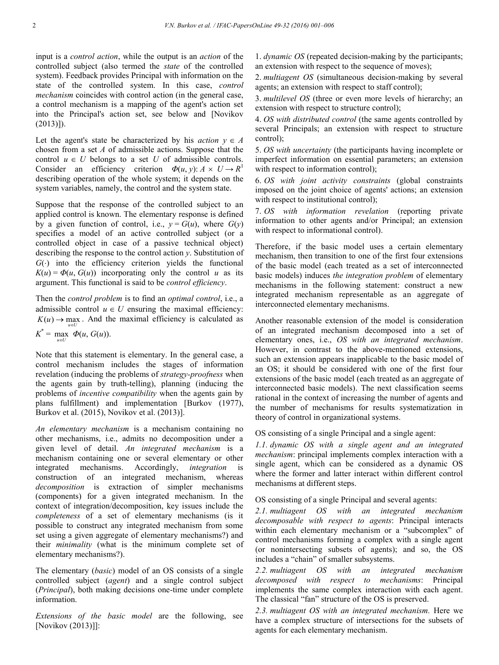input is a *control action*, while the output is an *action* of the controlled subject (also termed the *state* of the controlled system). Feedback provides Principal with information on the state of the controlled system. In this case, *control mechanism* coincides with control action (in the general case, a control mechanism is a mapping of the agent's action set into the Principal's action set, see below and [Novikov (2013)]).

Let the agent's state be characterized by his *action*  $y \in A$ chosen from a set *A* of admissible actions. Suppose that the control  $u \in U$  belongs to a set *U* of admissible controls. Consider an efficiency criterion  $\Phi(u, y)$ :  $A \times U \rightarrow R^1$ describing operation of the whole system; it depends on the system variables, namely, the control and the system state.

Suppose that the response of the controlled subject to an applied control is known. The elementary response is defined by a given function of control, i.e.,  $y = G(u)$ , where  $G(y)$ specifies a model of an active controlled subject (or a controlled object in case of a passive technical object) describing the response to the control action *y*. Substitution of  $G(\cdot)$  into the efficiency criterion yields the functional  $K(u) = \Phi(u, G(u))$  incorporating only the control *u* as its argument. This functional is said to be *control efficiency*.

Then the *control problem* is to find an *optimal control*, i.e., a admissible control  $u \in U$  ensuring the maximal efficiency:  $K(u) \rightarrow \max_{u \in U}$ . And the maximal efficiency is calculated as  $K^* = \max_{u \in U} \Phi(u, G(u)).$ 

Note that this statement is elementary. In the general case, a control mechanism includes the stages of information revelation (inducing the problems of *strategy-proofness* when the agents gain by truth-telling), planning (inducing the problems of *incentive compatibility* when the agents gain by plans fulfillment) and implementation [Burkov (1977), Burkov et al. (2015), Novikov et al. (2013)].

*An elementary mechanism* is a mechanism containing no other mechanisms, i.e., admits no decomposition under a given level of detail. *An integrated mechanism* is a mechanism containing one or several elementary or other integrated mechanisms. Accordingly, *integration* is construction of an integrated mechanism, whereas *decomposition* is extraction of simpler mechanisms (components) for a given integrated mechanism. In the context of integration/decomposition, key issues include the *completeness* of a set of elementary mechanisms (is it possible to construct any integrated mechanism from some set using a given aggregate of elementary mechanisms?) and their *minimality* (what is the minimum complete set of elementary mechanisms?).

The elementary (*basic*) model of an OS consists of a single controlled subject (*agent*) and a single control subject (*Principal*), both making decisions one-time under complete information.

*Extensions of the basic model* are the following, see [Novikov (2013)]]:

1. *dynamic OS* (repeated decision-making by the participants; an extension with respect to the sequence of moves);

2. *multiagent OS* (simultaneous decision-making by several agents; an extension with respect to staff control);

3. *multilevel OS* (three or even more levels of hierarchy; an extension with respect to structure control);

4. *OS with distributed control* (the same agents controlled by several Principals; an extension with respect to structure control);

5. *OS with uncertainty* (the participants having incomplete or imperfect information on essential parameters; an extension with respect to information control);

6. *OS with joint activity constraints* (global constraints imposed on the joint choice of agents' actions; an extension with respect to institutional control):

7. *OS with information revelation* (reporting private information to other agents and/or Principal; an extension with respect to informational control).

Therefore, if the basic model uses a certain elementary mechanism, then transition to one of the first four extensions of the basic model (each treated as a set of interconnected basic models) induces *the integration problem* of elementary mechanisms in the following statement: construct a new integrated mechanism representable as an aggregate of interconnected elementary mechanisms.

Another reasonable extension of the model is consideration of an integrated mechanism decomposed into a set of elementary ones, i.e., *OS with an integrated mechanism*. However, in contrast to the above-mentioned extensions, such an extension appears inapplicable to the basic model of an OS; it should be considered with one of the first four extensions of the basic model (each treated as an aggregate of interconnected basic models). The next classification seems rational in the context of increasing the number of agents and the number of mechanisms for results systematization in theory of control in organizational systems.

OS consisting of a single Principal and a single agent:

*1.1. dynamic OS with a single agent and an integrated mechanism*: principal implements complex interaction with a single agent, which can be considered as a dynamic OS where the former and latter interact within different control mechanisms at different steps.

OS consisting of a single Principal and several agents:

*2.1. multiagent OS with an integrated mechanism decomposable with respect to agents*: Principal interacts within each elementary mechanism or a "subcomplex" of control mechanisms forming a complex with a single agent (or nonintersecting subsets of agents); and so, the OS includes a "chain" of smaller subsystems.

*2.2. multiagent OS with an integrated mechanism decomposed with respect to mechanisms*: Principal implements the same complex interaction with each agent. The classical "fan" structure of the OS is preserved.

*2.3. multiagent OS with an integrated mechanism.* Here we have a complex structure of intersections for the subsets of agents for each elementary mechanism.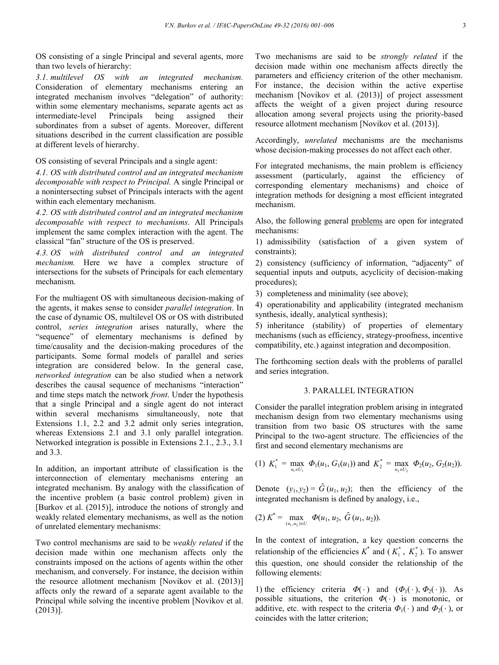OS consisting of a single Principal and several agents, more than two levels of hierarchy:

*3.1. multilevel OS with an integrated mechanism.*  Consideration of elementary mechanisms entering an integrated mechanism involves "delegation" of authority: within some elementary mechanisms, separate agents act as<br>intermediate-level Principals being assigned their intermediate-level Principals being assigned their subordinates from a subset of agents. Moreover, different situations described in the current classification are possible at different levels of hierarchy.

OS consisting of several Principals and a single agent:

*4.1. OS with distributed control and an integrated mechanism decomposable with respect to Principal.* A single Principal or a nonintersecting subset of Principals interacts with the agent within each elementary mechanism.

*4.2. OS with distributed control and an integrated mechanism decomposable with respect to mechanisms.* All Principals implement the same complex interaction with the agent. The classical "fan" structure of the OS is preserved.

*4.3. OS with distributed control and an integrated mechanism.* Here we have a complex structure of intersections for the subsets of Principals for each elementary mechanism.

For the multiagent OS with simultaneous decision-making of the agents, it makes sense to consider *parallel integration*. In the case of dynamic OS, multilevel OS or OS with distributed control, *series integration* arises naturally, where the "sequence" of elementary mechanisms is defined by time/causality and the decision-making procedures of the participants. Some formal models of parallel and series integration are considered below. In the general case, *networked integration* can be also studied when a network describes the causal sequence of mechanisms "interaction" and time steps match the network *front*. Under the hypothesis that a single Principal and a single agent do not interact within several mechanisms simultaneously, note that Extensions 1.1, 2.2 and 3.2 admit only series integration, whereas Extensions 2.1 and 3.1 only parallel integration. Networked integration is possible in Extensions 2.1., 2.3., 3.1 and 3.3.

In addition, an important attribute of classification is the interconnection of elementary mechanisms entering an integrated mechanism. By analogy with the classification of the incentive problem (a basic control problem) given in [Burkov et al. (2015)], introduce the notions of strongly and weakly related elementary mechanisms, as well as the notion of unrelated elementary mechanisms:

Two control mechanisms are said to be *weakly related* if the decision made within one mechanism affects only the constraints imposed on the actions of agents within the other mechanism, and conversely. For instance, the decision within the resource allotment mechanism [Novikov et al. (2013)] affects only the reward of a separate agent available to the Principal while solving the incentive problem [Novikov et al. (2013)].

Two mechanisms are said to be *strongly related* if the decision made within one mechanism affects directly the parameters and efficiency criterion of the other mechanism. For instance, the decision within the active expertise mechanism [Novikov et al. (2013)] of project assessment affects the weight of a given project during resource allocation among several projects using the priority-based resource allotment mechanism [Novikov et al. (2013)].

Accordingly, *unrelated* mechanisms are the mechanisms whose decision-making processes do not affect each other.

For integrated mechanisms, the main problem is efficiency assessment (particularly, against the efficiency of corresponding elementary mechanisms) and choice of integration methods for designing a most efficient integrated mechanism.

Also, the following general problems are open for integrated mechanisms:

1) admissibility (satisfaction of a given system of constraints);

2) consistency (sufficiency of information, "adjacenty" of sequential inputs and outputs, acyclicity of decision-making procedures);

3) completeness and minimality (see above);

4) operationability and applicability (integrated mechanism synthesis, ideally, analytical synthesis);

5) inheritance (stability) of properties of elementary mechanisms (such as efficiency, strategy-proofness, incentive compatibility, etc.) against integration and decomposition.

The forthcoming section deals with the problems of parallel and series integration.

## 3. PARALLEL INTEGRATION

Consider the parallel integration problem arising in integrated mechanism design from two elementary mechanisms using transition from two basic OS structures with the same Principal to the two-agent structure. The efficiencies of the first and second elementary mechanisms are

(1) 
$$
K_1^* = \max_{u_1 \in U_1} \Phi_1(u_1, G_1(u_1))
$$
 and  $K_2^* = \max_{u_2 \in U_2} \Phi_2(u_2, G_2(u_2))$ .

Denote  $(y_1, y_2) = \hat{G}(u_1, u_2)$ ; then the efficiency of the integrated mechanism is defined by analogy, i.e.,

(2) 
$$
K^* = \max_{(u_1, u_2) \in U} \Phi(u_1, u_2, \hat{G}(u_1, u_2)).
$$

In the context of integration, a key question concerns the relationship of the efficiencies  $K^*$  and  $(K_1^*, K_2^*)$ . To answer this question, one should consider the relationship of the following elements:

1) the efficiency criteria  $\Phi(\cdot)$  and  $(\Phi_1(\cdot), \Phi_2(\cdot))$ . As possible situations, the criterion *Φ*( ) is monotonic, or additive, etc. with respect to the criteria  $\Phi_1(\cdot)$  and  $\Phi_2(\cdot)$ , or coincides with the latter criterion;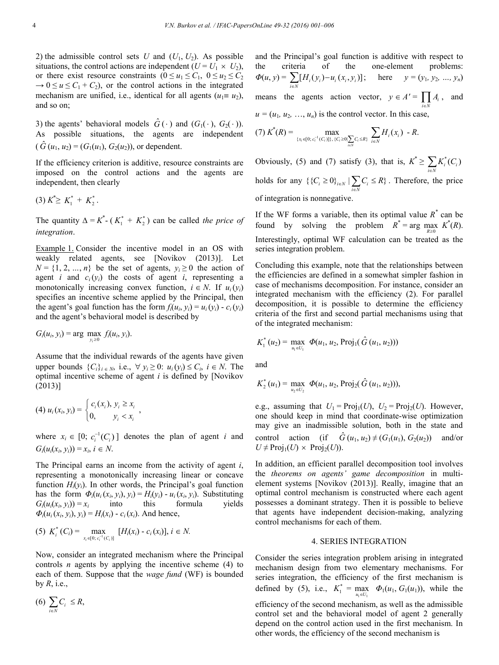2) the admissible control sets  $U$  and  $(U_1, U_2)$ . As possible situations, the control actions are independent  $(U = U_1 \times U_2)$ , or there exist resource constraints  $(0 \le u_1 \le C_1, 0 \le u_2 \le C_2)$  $\rightarrow 0 \le u \le C_1 + C_2$ , or the control actions in the integrated mechanism are unified, i.e., identical for all agents  $(u_1 \equiv u_2)$ , and so on;

3) the agents' behavioral models  $\hat{G}(\cdot)$  and  $(G_1(\cdot), G_2(\cdot))$ . As possible situations, the agents are independent  $(\hat{G}(u_1, u_2) = (G_1(u_1), G_2(u_2))$ , or dependent.

If the efficiency criterion is additive, resource constraints are imposed on the control actions and the agents are independent, then clearly

 $(3) K^* \geq K_1^* + K_2^*$ .

The quantity  $\Delta = K^*$  - ( $K_1^* + K_2^*$ ) can be called *the price of integration*.

Example 1. Consider the incentive model in an OS with weakly related agents, see [Novikov (2013)]. Let  $N = \{1, 2, ..., n\}$  be the set of agents,  $y_i \ge 0$  the action of agent *i* and  $c_i(y_i)$  the costs of agent *i*, representing a monotonically increasing convex function,  $i \in N$ . If  $u_i(y_i)$ specifies an incentive scheme applied by the Principal, then the agent's goal function has the form  $f_i(u_i, y_i) = u_i(y_i) - c_i(y_i)$ and the agent's behavioral model is described by

$$
G_i(u_i, y_i) = \arg \max_{y_i \ge 0} f_i(u_i, y_i).
$$

Assume that the individual rewards of the agents have given upper bounds  $\{C_i\}_{i \in N}$ , i.e.,  $\forall y_i \geq 0$ :  $u_i(y_i) \leq C_i$ ,  $i \in N$ . The optimal incentive scheme of agent *i* is defined by [Novikov (2013)]

$$
(4) \ u_i(x_i, y_i) = \begin{cases} c_i(x_i), \ y_i \ge x_i \\ 0, \ y_i < x_i \end{cases},
$$

where  $x_i \in [0; c_i^{-1}(C_i)]$  denotes the plan of agent *i* and  $G_i(u_i(x_i, y_i)) = x_i, i \in N.$ 

The Principal earns an income from the activity of agent *i*, representing a monotonically increasing linear or concave function  $H_i(y_i)$ . In other words, the Principal's goal function has the form  $\Phi_i(u_i(x_i, y_i), y_i) = H_i(y_i) - u_i(x_i, y_i)$ . Substituting  $G_i(u_i(x_i, y_i)) = x_i$  into this formula yields  $G_i(u_i(x_i, y_i)) = x_i$  into this formula  $\Phi_i(u_i(x_i, y_i), y_i) = H_i(x_i) - c_i(x_i)$ . And hence,

$$
(5) K_i^*(C_i) = \max_{x_i \in [0; c_i^{-1}(C_i)]} [H_i(x_i) - c_i(x_i)], i \in N.
$$

Now, consider an integrated mechanism where the Principal controls *n* agents by applying the incentive scheme (4) to each of them. Suppose that the *wage fund* (WF) is bounded by *R*, i.e.,

 $(6)$   $\sum_{i \in N} C_i$  $\sum_{i \in N} C_i \leq R$ 

and the Principal's goal function is additive with respect to the criteria of the one-element problems:  $\Phi(u, y) = \sum_{i \in N} [H_i(y_i) - u_i(x_i, y_i)]$  $\sum_{i \in N} [H_i(y_i) - u_i(x_i, y_i)];$  here  $y = (y_1, y_2, ..., y_n)$ means the agents action vector,  $y \in A' = \prod A_i$ , and  $i \in \Lambda$ iε  $u = (u_1, u_2, \ldots, u_n)$  is the control vector. In this case,

$$
(7) K^{*}(R) = \max_{\{x_i \in [0; c_i^{-1}(C_i)]\}, \{C_i \ge 0\}} \sum_{i \in N} H_i(x_i) - R.
$$

Obviously, (5) and (7) satisfy (3), that is,  $K^* \ge \sum_{i \in N} K_i^*(C_i)$  $\sum_{i\in N}K_i^*(C)$ holds for any  $\{\{C_i \geq 0\}_{i \in N} | \sum_{i \in N} C_i \leq R\}$ . Therefore, the price of integration is nonnegative.

If the WF forms a variable, then its optimal value  $R^*$  can be found by solving the problem  $R^* = \arg \max_{R \ge 0} K^*(R)$ . Interestingly, optimal WF calculation can be treated as the series integration problem.

Concluding this example, note that the relationships between the efficiencies are defined in a somewhat simpler fashion in case of mechanisms decomposition. For instance, consider an integrated mechanism with the efficiency (2). For parallel decomposition, it is possible to determine the efficiency criteria of the first and second partial mechanisms using that of the integrated mechanism:

$$
K_1^*(u_2) = \max_{u_1 \in U_1} \Phi(u_1, u_2, \text{Proj}_1(\hat{G}(u_1, u_2)))
$$

and

$$
K_2^*(u_1) = \max_{u_2 \in U_2} \Phi(u_1, u_2, \text{Proj}_2(\hat{G}(u_1, u_2))),
$$

e.g., assuming that  $U_1 = \text{Proj}_1(U)$ ,  $U_2 = \text{Proj}_2(U)$ . However, one should keep in mind that coordinate-wise optimization may give an inadmissible solution, both in the state and control action (if  $\hat{G}(u_1, u_2) \neq (G_1(u_1), G_2(u_2))$  and/or  $U \neq \text{Proj}_1(U) \times \text{Proj}_2(U)$ .

In addition, an efficient parallel decomposition tool involves the *theorems on agents' game decomposition* in multielement systems [Novikov (2013)]. Really, imagine that an optimal control mechanism is constructed where each agent possesses a dominant strategy. Then it is possible to believe that agents have independent decision-making, analyzing control mechanisms for each of them.

## 4. SERIES INTEGRATION

Consider the series integration problem arising in integrated mechanism design from two elementary mechanisms. For series integration, the efficiency of the first mechanism is defined by (5), i.e.,  $K_1^* = \max_{u_1 \in U_1} \Phi_1(u_1, G_1(u_1))$ , while the efficiency of the second mechanism, as well as the admissible control set and the behavioral model of agent 2 generally depend on the control action used in the first mechanism. In other words, the efficiency of the second mechanism is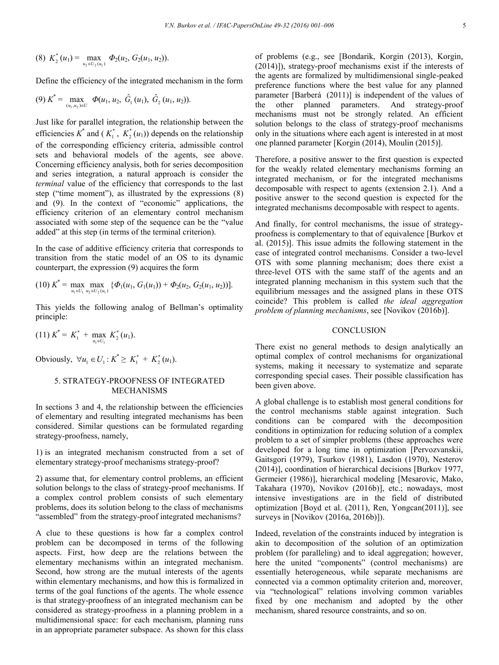(8) 
$$
K_2^*(u_1) = \max_{u_2 \in U_2(u_1)} \Phi_2(u_2, G_2(u_1, u_2)).
$$

Define the efficiency of the integrated mechanism in the form

$$
(9) K^* = \max_{(u_1, u_2) \in U} \Phi(u_1, u_2, \hat{G}_1(u_1), \hat{G}_2(u_1, u_2)).
$$

Just like for parallel integration, the relationship between the efficiencies  $K^*$  and  $(K_1^*, K_2^*(u_1))$  depends on the relationship of the corresponding efficiency criteria, admissible control sets and behavioral models of the agents, see above. Concerning efficiency analysis, both for series decomposition and series integration, a natural approach is consider the *terminal* value of the efficiency that corresponds to the last step ("time moment"), as illustrated by the expressions (8) and (9). In the context of "economic" applications, the efficiency criterion of an elementary control mechanism associated with some step of the sequence can be the "value added" at this step (in terms of the terminal criterion).

In the case of additive efficiency criteria that corresponds to transition from the static model of an OS to its dynamic counterpart, the expression (9) acquires the form

$$
(10) K^* = \max_{u_1 \in U_1} \max_{u_2 \in U_2(u_1)} {\{\Phi_1(u_1, G_1(u_1)) + \Phi_2(u_2, G_2(u_1, u_2))\}}.
$$

This yields the following analog of Bellman's optimality principle:

$$
(11) K^* = K_1^* + \max_{u_1 \in U_1} K_2^*(u_1).
$$

Obviously,  $\forall u_1 \in U_1 : K^* \geq K_1^* + K_2^*(u_1).$ 

## 5. STRATEGY-PROOFNESS OF INTEGRATED MECHANISMS

In sections 3 and 4, the relationship between the efficiencies of elementary and resulting integrated mechanisms has been considered. Similar questions can be formulated regarding strategy-proofness, namely,

1) is an integrated mechanism constructed from a set of elementary strategy-proof mechanisms strategy-proof?

2) assume that, for elementary control problems, an efficient solution belongs to the class of strategy-proof mechanisms. If a complex control problem consists of such elementary problems, does its solution belong to the class of mechanisms "assembled" from the strategy-proof integrated mechanisms?

A clue to these questions is how far a complex control problem can be decomposed in terms of the following aspects. First, how deep are the relations between the elementary mechanisms within an integrated mechanism. Second, how strong are the mutual interests of the agents within elementary mechanisms, and how this is formalized in terms of the goal functions of the agents. The whole essence is that strategy-proofness of an integrated mechanism can be considered as strategy-proofness in a planning problem in a multidimensional space: for each mechanism, planning runs in an appropriate parameter subspace. As shown for this class of problems (e.g., see [Bondarik, Korgin (2013), Korgin, (2014)]), strategy-proof mechanisms exist if the interests of the agents are formalized by multidimensional single-peaked preference functions where the best value for any planned parameter [Barberá (2011)] is independent of the values of the other planned parameters. And strategy-proof mechanisms must not be strongly related. An efficient solution belongs to the class of strategy-proof mechanisms only in the situations where each agent is interested in at most one planned parameter [Korgin (2014), Moulin (2015)].

Therefore, a positive answer to the first question is expected for the weakly related elementary mechanisms forming an integrated mechanism, or for the integrated mechanisms decomposable with respect to agents (extension 2.1). And a positive answer to the second question is expected for the integrated mechanisms decomposable with respect to agents.

And finally, for control mechanisms, the issue of strategyproofness is complementary to that of equivalence [Burkov et al. (2015)]. This issue admits the following statement in the case of integrated control mechanisms. Consider a two-level OTS with some planning mechanism; does there exist a three-level OTS with the same staff of the agents and an integrated planning mechanism in this system such that the equilibrium messages and the assigned plans in these OTS coincide? This problem is called *the ideal aggregation problem of planning mechanisms*, see [Novikov (2016b)].

#### **CONCLUSION**

There exist no general methods to design analytically an optimal complex of control mechanisms for organizational systems, making it necessary to systematize and separate corresponding special cases. Their possible classification has been given above.

A global challenge is to establish most general conditions for the control mechanisms stable against integration. Such conditions can be compared with the decomposition conditions in optimization for reducing solution of a complex problem to a set of simpler problems (these approaches were developed for a long time in optimization [Pervozvanskii, Gaitsgori (1979), Tsurkov (1981), Lasdon (1970), Nesterov (2014)], coordination of hierarchical decisions [Burkov 1977, Germeier (1986)], hierarchical modeling [Mesarovic, Mako, Takahara (1970), Novikov (2016b)], etc.; nowadays, most intensive investigations are in the field of distributed optimization [Boyd et al. (2011), Ren, Yongcan(2011)], see surveys in [Novikov (2016a, 2016b)]).

Indeed, revelation of the constraints induced by integration is akin to decomposition of the solution of an optimization problem (for paralleling) and to ideal aggregation; however, here the united "components" (control mechanisms) are essentially heterogeneous, while separate mechanisms are connected via a common optimality criterion and, moreover, via "technological" relations involving common variables fixed by one mechanism and adopted by the other mechanism, shared resource constraints, and so on.